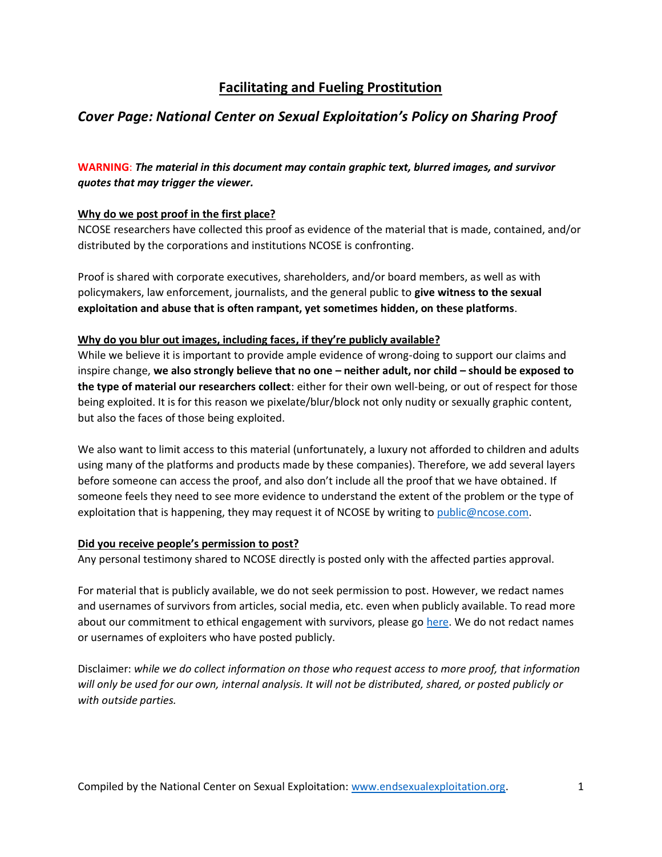# **Facilitating and Fueling Prostitution**

## *Cover Page: National Center on Sexual Exploitation's Policy on Sharing Proof*

**WARNING**: *The material in this document may contain graphic text, blurred images, and survivor quotes that may trigger the viewer.* 

## **Why do we post proof in the first place?**

NCOSE researchers have collected this proof as evidence of the material that is made, contained, and/or distributed by the corporations and institutions NCOSE is confronting.

Proof is shared with corporate executives, shareholders, and/or board members, as well as with policymakers, law enforcement, journalists, and the general public to **give witness to the sexual exploitation and abuse that is often rampant, yet sometimes hidden, on these platforms**.

### **Why do you blur out images, including faces, if they're publicly available?**

While we believe it is important to provide ample evidence of wrong-doing to support our claims and inspire change, **we also strongly believe that no one – neither adult, nor child – should be exposed to the type of material our researchers collect**: either for their own well-being, or out of respect for those being exploited. It is for this reason we pixelate/blur/block not only nudity or sexually graphic content, but also the faces of those being exploited.

We also want to limit access to this material (unfortunately, a luxury not afforded to children and adults using many of the platforms and products made by these companies). Therefore, we add several layers before someone can access the proof, and also don't include all the proof that we have obtained. If someone feels they need to see more evidence to understand the extent of the problem or the type of exploitation that is happening, they may request it of NCOSE by writing to [public@ncose.com.](mailto:public@ncose.com)

### **Did you receive people's permission to post?**

Any personal testimony shared to NCOSE directly is posted only with the affected parties approval.

For material that is publicly available, we do not seek permission to post. However, we redact names and usernames of survivors from articles, social media, etc. even when publicly available. To read more about our commitment to ethical engagement with survivors, please go [here.](https://endsexualexploitation.org/walking-alongside-survivors/) We do not redact names or usernames of exploiters who have posted publicly.

Disclaimer: *while we do collect information on those who request access to more proof, that information will only be used for our own, internal analysis. It will not be distributed, shared, or posted publicly or with outside parties.*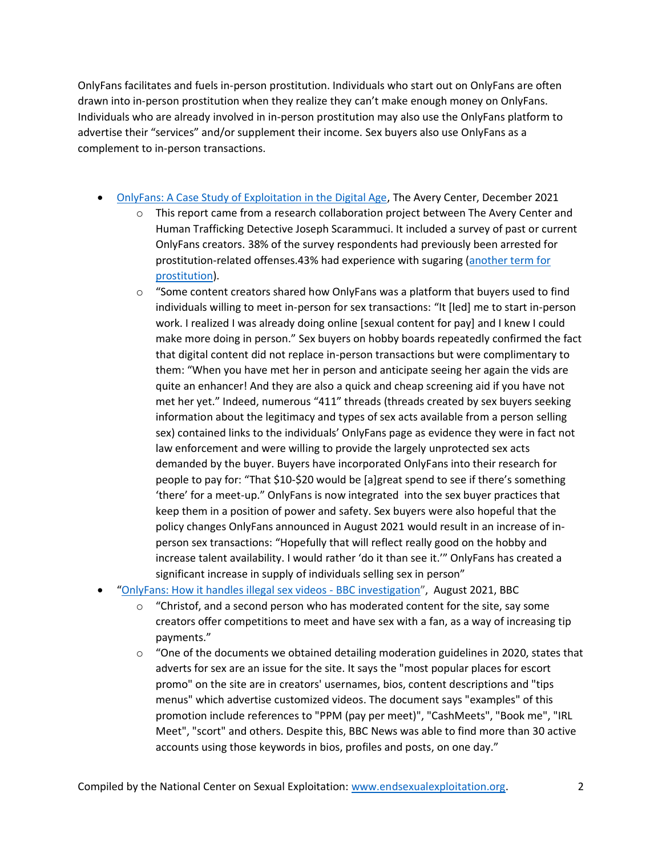OnlyFans facilitates and fuels in-person prostitution. Individuals who start out on OnlyFans are often drawn into in-person prostitution when they realize they can't make enough money on OnlyFans. Individuals who are already involved in in-person prostitution may also use the OnlyFans platform to advertise their "services" and/or supplement their income. Sex buyers also use OnlyFans as a complement to in-person transactions.

- [OnlyFans: A Case Study of Exploitation in the Digital Age,](https://theaverycenter.org/research/onlyfans/) The Avery Center, December 2021
	- $\circ$  This report came from a research collaboration project between The Avery Center and Human Trafficking Detective Joseph Scarammuci. It included a survey of past or current OnlyFans creators. 38% of the survey respondents had previously been arrested for prostitution-related offenses.43% had experience with sugaring [\(another term for](https://endsexualexploitation.org/articles/the-bitter-truth-about-sugar-dating/)  [prostitution\)](https://endsexualexploitation.org/articles/the-bitter-truth-about-sugar-dating/).
	- $\circ$  "Some content creators shared how OnlyFans was a platform that buyers used to find individuals willing to meet in-person for sex transactions: "It [led] me to start in-person work. I realized I was already doing online [sexual content for pay] and I knew I could make more doing in person." Sex buyers on hobby boards repeatedly confirmed the fact that digital content did not replace in-person transactions but were complimentary to them: "When you have met her in person and anticipate seeing her again the vids are quite an enhancer! And they are also a quick and cheap screening aid if you have not met her yet." Indeed, numerous "411" threads (threads created by sex buyers seeking information about the legitimacy and types of sex acts available from a person selling sex) contained links to the individuals' OnlyFans page as evidence they were in fact not law enforcement and were willing to provide the largely unprotected sex acts demanded by the buyer. Buyers have incorporated OnlyFans into their research for people to pay for: "That \$10-\$20 would be [a]great spend to see if there's something 'there' for a meet-up." OnlyFans is now integrated into the sex buyer practices that keep them in a position of power and safety. Sex buyers were also hopeful that the policy changes OnlyFans announced in August 2021 would result in an increase of inperson sex transactions: "Hopefully that will reflect really good on the hobby and increase talent availability. I would rather 'do it than see it.'" OnlyFans has created a significant increase in supply of individuals selling sex in person"
- "[OnlyFans: How it handles illegal sex videos -](https://www.bbc.com/news/uk-58255865) BBC investigation", August 2021, BBC
	- $\circ$  "Christof, and a second person who has moderated content for the site, say some creators offer competitions to meet and have sex with a fan, as a way of increasing tip payments."
	- $\circ$  "One of the documents we obtained detailing moderation guidelines in 2020, states that adverts for sex are an issue for the site. It says the "most popular places for escort promo" on the site are in creators' usernames, bios, content descriptions and "tips menus" which advertise customized videos. The document says "examples" of this promotion include references to "PPM (pay per meet)", "CashMeets", "Book me", "IRL Meet", "scort" and others. Despite this, BBC News was able to find more than 30 active accounts using those keywords in bios, profiles and posts, on one day."